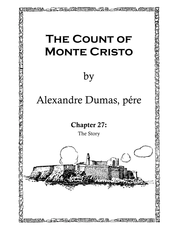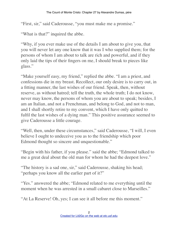"First, sir," said Caderousse, "you must make me a promise."

"What is that?" inquired the abbe.

"Why, if you ever make use of the details I am about to give you, that you will never let any one know that it was I who supplied them; for the persons of whom I am about to talk are rich and powerful, and if they only laid the tips of their fingers on me, I should break to pieces like glass."

"Make yourself easy, my friend," replied the abbe. "I am a priest, and confessions die in my breast. Recollect, our only desire is to carry out, in a fitting manner, the last wishes of our friend. Speak, then, without reserve, as without hatred; tell the truth, the whole truth; I do not know, never may know, the persons of whom you are about to speak; besides, I am an Italian, and not a Frenchman, and belong to God, and not to man, and I shall shortly retire to my convent, which I have only quitted to fulfil the last wishes of a dying man." This positive assurance seemed to give Caderousse a little courage.

"Well, then, under these circumstances," said Caderousse, "I will, I even believe I ought to undeceive you as to the friendship which poor Edmond thought so sincere and unquestionable."

"Begin with his father, if you please." said the abbe; "Edmond talked to me a great deal about the old man for whom he had the deepest love."

"The history is a sad one, sir," said Caderousse, shaking his head; "perhaps you know all the earlier part of it?"

"Yes." answered the abbe; "Edmond related to me everything until the moment when he was arrested in a small cabaret close to Marseilles."

"At La Reserve! Oh, yes; I can see it all before me this moment."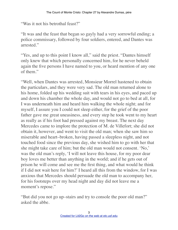"Was it not his betrothal feast?"

"It was and the feast that began so gayly had a very sorrowful ending; a police commissary, followed by four soldiers, entered, and Dantes was arrested"

"Yes, and up to this point I know all," said the priest. "Dantes himself" only knew that which personally concerned him, for he never beheld again the five persons I have named to you, or heard mention of any one of them."

"Well, when Dantes was arrested, Monsieur Morrel hastened to obtain the particulars, and they were very sad. The old man returned alone to his home, folded up his wedding suit with tears in his eyes, and paced up and down his chamber the whole day, and would not go to bed at all, for I was underneath him and heard him walking the whole night; and for myself, I assure you I could not sleep either, for the grief of the poor father gave me great uneasiness, and every step he took went to my heart as really as if his foot had pressed against my breast. The next day Mercedes came to implore the protection of M. de Villefort; she did not obtain it, however, and went to visit the old man; when she saw him so miserable and heart–broken, having passed a sleepless night, and not touched food since the previous day, she wished him to go with her that she might take care of him; but the old man would not consent. 'No,' was the old man's reply, 'I will not leave this house, for my poor dear boy loves me better than anything in the world; and if he gets out of prison he will come and see me the first thing, and what would he think if I did not wait here for him?' I heard all this from the window, for I was anxious that Mercedes should persuade the old man to accompany her, for his footsteps over my head night and day did not leave me a moment's repose."

"But did you not go up–stairs and try to console the poor old man?" asked the abbe.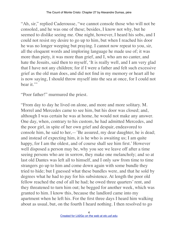"Ah, sir," replied Caderousse, "we cannot console those who will not be consoled, and he was one of these; besides, I know not why, but he seemed to dislike seeing me. One night, however, I heard his sobs, and I could not resist my desire to go up to him, but when I reached his door he was no longer weeping but praying. I cannot now repeat to you, sir, all the eloquent words and imploring language he made use of; it was more than piety, it was more than grief, and I, who am no canter, and hate the Jesuits, said then to myself, 'It is really well, and I am very glad that I have not any children; for if I were a father and felt such excessive grief as the old man does, and did not find in my memory or heart all he is now saying, I should throw myself into the sea at once, for I could not bear it."

"Poor father!" murmured the priest.

"From day to day he lived on alone, and more and more solitary. M. Morrel and Mercedes came to see him, but his door was closed; and, although I was certain he was at home, he would not make any answer. One day, when, contrary to his custom, he had admitted Mercedes, and the poor girl, in spite of her own grief and despair, endeavored to console him, he said to her,—'Be assured, my dear daughter, he is dead; and instead of expecting him, it is he who is awaiting us; I am quite happy, for I am the oldest, and of course shall see him first.' However well disposed a person may be, why you see we leave off after a time seeing persons who are in sorrow, they make one melancholy; and so at last old Dantes was left all to himself, and I only saw from time to time strangers go up to him and come down again with some bundle they tried to hide; but I guessed what these bundles were, and that he sold by degrees what he had to pay for his subsistence. At length the poor old fellow reached the end of all he had; he owed three quarters' rent, and they threatened to turn him out; he begged for another week, which was granted to him. I know this, because the landlord came into my apartment when he left his. For the first three days I heard him walking about as usual, but, on the fourth I heard nothing. I then resolved to go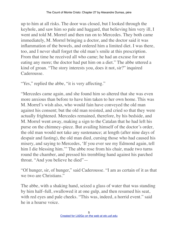up to him at all risks. The door was closed, but I looked through the keyhole, and saw him so pale and haggard, that believing him very ill, I went and told M. Morrel and then ran on to Mercedes. They both came immediately, M. Morrel bringing a doctor, and the doctor said it was inflammation of the bowels, and ordered him a limited diet. I was there, too, and I never shall forget the old man's smile at this prescription. From that time he received all who came; he had an excuse for not eating any more; the doctor had put him on a diet." The abbe uttered a kind of groan. "The story interests you, does it not, sir?" inquired Caderousse.

"Yes," replied the abbe, "it is very affecting."

"Mercedes came again, and she found him so altered that she was even more anxious than before to have him taken to her own home. This was M. Morrel's wish also, who would fain have conveyed the old man against his consent; but the old man resisted, and cried so that they were actually frightened. Mercedes remained, therefore, by his bedside, and M. Morrel went away, making a sign to the Catalan that he had left his purse on the chimney–piece. But availing himself of the doctor's order, the old man would not take any sustenance; at length (after nine days of despair and fasting), the old man died, cursing those who had caused his misery, and saying to Mercedes, 'If you ever see my Edmond again, tell him I die blessing him.'" The abbe rose from his chair, made two turns round the chamber, and pressed his trembling hand against his parched throat. "And you believe he died"—

"Of hunger, sir, of hunger," said Caderousse. "I am as certain of it as that we two are Christians."

The abbe, with a shaking hand, seized a glass of water that was standing by him half–full, swallowed it at one gulp, and then resumed his seat, with red eyes and pale cheeks. "This was, indeed, a horrid event." said he in a hoarse voice.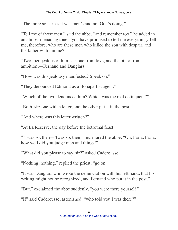"The more so, sir, as it was men's and not God's doing."

"Tell me of those men," said the abbe, "and remember too," he added in an almost menacing tone, "you have promised to tell me everything. Tell me, therefore, who are these men who killed the son with despair, and the father with famine?"

"Two men jealous of him, sir; one from love, and the other from ambition,—Fernand and Danglars."

"How was this jealousy manifested? Speak on."

"They denounced Edmond as a Bonapartist agent."

"Which of the two denounced him? Which was the real delinquent?"

"Both, sir; one with a letter, and the other put it in the post."

"And where was this letter written?"

"At La Reserve, the day before the betrothal feast."

"'Twas so, then—'twas so, then," murmured the abbe. "Oh, Faria, Faria, how well did you judge men and things!"

"What did you please to say, sir?" asked Caderousse.

"Nothing, nothing," replied the priest; "go on."

"It was Danglars who wrote the denunciation with his left hand, that his writing might not be recognized, and Fernand who put it in the post."

"But," exclaimed the abbe suddenly, "you were there yourself."

"I!" said Caderousse, astonished; "who told you I was there?"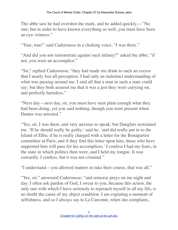The abbe saw he had overshot the mark, and he added quickly,—"No one; but in order to have known everything so well, you must have been an eye–witness."

"True, true!" said Caderousse in a choking voice, "I was there."

"And did you not remonstrate against such infamy?" asked the abbe; "if not, you were an accomplice."

"Sir," replied Caderousse, "they had made me drink to such an excess that I nearly lost all perception. I had only an indistinct understanding of what was passing around me. I said all that a man in such a state could say; but they both assured me that it was a jest they were carrying on, and perfectly harmless."

"Next day—next day, sir, you must have seen plain enough what they had been doing, yet you said nothing, though you were present when Dantes was arrested."

"Yes, sir, I was there, and very anxious to speak; but Danglars restrained me. 'If he should really be guilty,' said he, 'and did really put in to the Island of Elba; if he is really charged with a letter for the Bonapartist committee at Paris, and if they find this letter upon him, those who have supported him will pass for his accomplices.' I confess I had my fears, in the state in which politics then were, and I held my tongue. It was cowardly, I confess, but it was not criminal."

"I understand—you allowed matters to take their course, that was all."

"Yes, sir," answered Caderousse; "and remorse preys on me night and day. I often ask pardon of God, I swear to you, because this action, the only one with which I have seriously to reproach myself in all my life, is no doubt the cause of my abject condition. I am expiating a moment of selfishness, and so I always say to La Carconte, when she complains,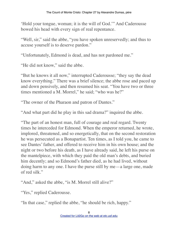'Hold your tongue, woman; it is the will of God.'" And Caderousse bowed his head with every sign of real repentance.

"Well, sir," said the abbe, "you have spoken unreservedly; and thus to accuse yourself is to deserve pardon."

"Unfortunately, Edmond is dead, and has not pardoned me."

"He did not know," said the abbe.

"But he knows it all now," interrupted Caderousse; "they say the dead know everything." There was a brief silence; the abbe rose and paced up and down pensively, and then resumed his seat. "You have two or three times mentioned a M. Morrel," he said; "who was he?"

"The owner of the Pharaon and patron of Dantes."

"And what part did he play in this sad drama?" inquired the abbe.

"The part of an honest man, full of courage and real regard. Twenty times he interceded for Edmond. When the emperor returned, he wrote, implored, threatened, and so energetically, that on the second restoration he was persecuted as a Bonapartist. Ten times, as I told you, he came to see Dantes' father, and offered to receive him in his own house; and the night or two before his death, as I have already said, he left his purse on the mantelpiece, with which they paid the old man's debts, and buried him decently; and so Edmond's father died, as he had lived, without doing harm to any one. I have the purse still by me—a large one, made of red silk."

"And," asked the abbe, "is M. Morrel still alive?"

"Yes," replied Caderousse.

"In that case," replied the abbe, "he should be rich, happy."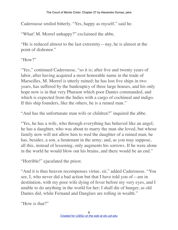Caderousse smiled bitterly. "Yes, happy as myself," said he.

"What! M. Morrel unhappy?" exclaimed the abbe.

"He is reduced almost to the last extremity—nay, he is almost at the point of dishonor."

" $How$ "

"Yes," continued Caderousse, "so it is; after five and twenty years of labor, after having acquired a most honorable name in the trade of Marseilles, M. Morrel is utterly ruined; he has lost five ships in two years, has suffered by the bankruptcy of three large houses, and his only hope now is in that very Pharaon which poor Dantes commanded, and which is expected from the Indies with a cargo of cochineal and indigo. If this ship founders, like the others, he is a ruined man."

"And has the unfortunate man wife or children?" inquired the abbe.

"Yes, he has a wife, who through everything has behaved like an angel; he has a daughter, who was about to marry the man she loved, but whose family now will not allow him to wed the daughter of a ruined man; he has, besides, a son, a lieutenant in the army; and, as you may suppose, all this, instead of lessening, only augments his sorrows. If he were alone in the world he would blow out his brains, and there would be an end."

"Horrible!" ejaculated the priest.

"And it is thus heaven recompenses virtue, sir," added Caderousse. "You see, I, who never did a bad action but that I have told you of—am in destitution, with my poor wife dying of fever before my very eyes, and I unable to do anything in the world for her; I shall die of hunger, as old Dantes did, while Fernand and Danglars are rolling in wealth."

"How is that?"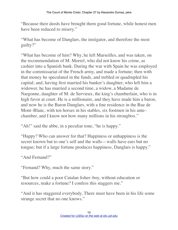"Because their deeds have brought them good fortune, while honest men have been reduced to misery."

"What has become of Danglars, the instigator, and therefore the most guilty?"

"What has become of him? Why, he left Marseilles, and was taken, on the recommendation of M. Morrel, who did not know his crime, as cashier into a Spanish bank. During the war with Spain he was employed in the commissariat of the French army, and made a fortune; then with that money he speculated in the funds, and trebled or quadrupled his capital; and, having first married his banker's daughter, who left him a widower, he has married a second time, a widow, a Madame de Nargonne, daughter of M. de Servieux, the king's chamberlain, who is in high favor at court. He is a millionaire, and they have made him a baron, and now he is the Baron Danglars, with a fine residence in the Rue de Mont–Blanc, with ten horses in his stables, six footmen in his ante– chamber, and I know not how many millions in his strongbox."

"Ah!" said the abbe, in a peculiar tone, "he is happy."

"Happy? Who can answer for that? Happiness or unhappiness is the secret known but to one's self and the walls—walls have ears but no tongue; but if a large fortune produces happiness, Danglars is happy."

"And Fernand?"

"Fernand? Why, much the same story."

"But how could a poor Catalan fisher–boy, without education or resources, make a fortune? I confess this staggers me."

"And it has staggered everybody. There must have been in his life some strange secret that no one knows."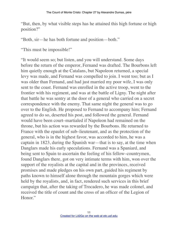"But, then, by what visible steps has he attained this high fortune or high position?"

"Both, sir—he has both fortune and position—both."

"This must be impossible!"

"It would seem so; but listen, and you will understand. Some days before the return of the emperor, Fernand was drafted. The Bourbons left him quietly enough at the Catalans, but Napoleon returned, a special levy was made, and Fernand was compelled to join. I went too; but as I was older than Fernand, and had just married my poor wife, I was only sent to the coast. Fernand was enrolled in the active troop, went to the frontier with his regiment, and was at the battle of Ligny. The night after that battle he was sentry at the door of a general who carried on a secret correspondence with the enemy. That same night the general was to go over to the English. He proposed to Fernand to accompany him; Fernand agreed to do so, deserted his post, and followed the general. Fernand would have been court–martialed if Napoleon had remained on the throne, but his action was rewarded by the Bourbons. He returned to France with the epaulet of sub–lieutenant, and as the protection of the general, who is in the highest favor, was accorded to him, he was a captain in 1823, during the Spanish war—that is to say, at the time when Danglars made his early speculations. Fernand was a Spaniard, and being sent to Spain to ascertain the feeling of his fellow–countrymen, found Danglars there, got on very intimate terms with him, won over the support of the royalists at the capital and in the provinces, received promises and made pledges on his own part, guided his regiment by paths known to himself alone through the mountain gorges which were held by the royalists, and, in fact, rendered such services in this brief campaign that, after the taking of Trocadero, he was made colonel, and received the title of count and the cross of an officer of the Legion of Honor."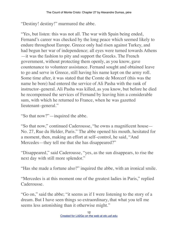"Destiny! destiny!" murmured the abbe.

"Yes, but listen: this was not all. The war with Spain being ended, Fernand's career was checked by the long peace which seemed likely to endure throughout Europe. Greece only had risen against Turkey, and had begun her war of independence; all eyes were turned towards Athens —it was the fashion to pity and support the Greeks. The French government, without protecting them openly, as you know, gave countenance to volunteer assistance. Fernand sought and obtained leave to go and serve in Greece, still having his name kept on the army roll. Some time after, it was stated that the Comte de Morcerf (this was the name he bore) had entered the service of Ali Pasha with the rank of instructor–general. Ali Pasha was killed, as you know, but before he died he recompensed the services of Fernand by leaving him a considerable sum, with which he returned to France, when he was gazetted lieutenant–general."

"So that now?"—inquired the abbe.

"So that now," continued Caderousse, "he owns a magnificent house— No. 27, Rue du Helder, Paris." The abbe opened his mouth, hesitated for a moment, then, making an effort at self–control, he said, "And Mercedes—they tell me that she has disappeared?"

"Disappeared," said Caderousse, "yes, as the sun disappears, to rise the next day with still more splendor."

"Has she made a fortune also?" inquired the abbe, with an ironical smile.

"Mercedes is at this moment one of the greatest ladies in Paris," replied Caderousse.

"Go on," said the abbe; "it seems as if I were listening to the story of a dream. But I have seen things so extraordinary, that what you tell me seems less astonishing than it otherwise might."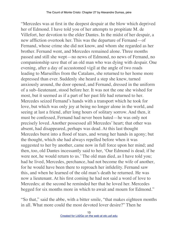"Mercedes was at first in the deepest despair at the blow which deprived her of Edmond. I have told you of her attempts to propitiate M. de Villefort, her devotion to the elder Dantes. In the midst of her despair, a new affliction overtook her. This was the departure of Fernand—of Fernand, whose crime she did not know, and whom she regarded as her brother. Fernand went, and Mercedes remained alone. Three months passed and still she wept—no news of Edmond, no news of Fernand, no companionship save that of an old man who was dying with despair. One evening, after a day of accustomed vigil at the angle of two roads leading to Marseilles from the Catalans, she returned to her home more depressed than ever. Suddenly she heard a step she knew, turned anxiously around, the door opened, and Fernand, dressed in the uniform of a sub–lieutenant, stood before her. It was not the one she wished for most, but it seemed as if a part of her past life had returned to her. Mercedes seized Fernand's hands with a transport which he took for love, but which was only joy at being no longer alone in the world, and seeing at last a friend, after long hours of solitary sorrow. And then, it must be confessed, Fernand had never been hated—he was only not precisely loved. Another possessed all Mercedes' heart; that other was absent, had disappeared, perhaps was dead. At this last thought Mercedes burst into a flood of tears, and wrung her hands in agony; but the thought, which she had always repelled before when it was suggested to her by another, came now in full force upon her mind; and then, too, old Dantes incessantly said to her, 'Our Edmond is dead; if he were not, he would return to us.' The old man died, as I have told you; had he lived, Mercedes, perchance, had not become the wife of another, for he would have been there to reproach her infidelity. Fernand saw this, and when he learned of the old man's death he returned. He was now a lieutenant. At his first coming he had not said a word of love to Mercedes; at the second he reminded her that he loved her. Mercedes begged for six months more in which to await and mourn for Edmond."

"So that," said the abbe, with a bitter smile, "that makes eighteen months in all. What more could the most devoted lover desire?" Then he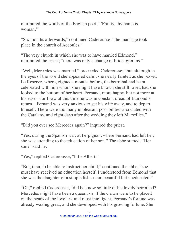murmured the words of the English poet, "'Frailty, thy name is woman<sup>"</sup>

"Six months afterwards," continued Caderousse, "the marriage took place in the church of Accoules."

"The very church in which she was to have married Edmond," murmured the priest; "there was only a change of bride–grooms."

"Well, Mercedes was married," proceeded Caderousse; "but although in the eyes of the world she appeared calm, she nearly fainted as she passed La Reserve, where, eighteen months before, the betrothal had been celebrated with him whom she might have known she still loved had she looked to the bottom of her heart. Fernand, more happy, but not more at his ease—for I saw at this time he was in constant dread of Edmond's return—Fernand was very anxious to get his wife away, and to depart himself. There were too many unpleasant possibilities associated with the Catalans, and eight days after the wedding they left Marseilles."

"Did you ever see Mercedes again?" inquired the priest.

"Yes, during the Spanish war, at Perpignan, where Fernand had left her; she was attending to the education of her son." The abbe started. "Her son?" said he.

"Yes," replied Caderousse, "little Albert."

"But, then, to be able to instruct her child," continued the abbe, "she must have received an education herself. I understood from Edmond that she was the daughter of a simple fisherman, beautiful but uneducated."

"Oh," replied Caderousse, "did he know so little of his lovely betrothed? Mercedes might have been a queen, sir, if the crown were to be placed on the heads of the loveliest and most intelligent. Fernand's fortune was already waxing great, and she developed with his growing fortune. She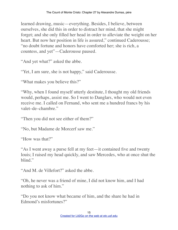learned drawing, music—everything. Besides, I believe, between ourselves, she did this in order to distract her mind, that she might forget; and she only filled her head in order to alleviate the weight on her heart. But now her position in life is assured," continued Caderousse; "no doubt fortune and honors have comforted her; she is rich, a countess, and yet"—Caderousse paused.

"And yet what?" asked the abbe.

"Yet, I am sure, she is not happy," said Caderousse.

"What makes you believe this?"

"Why, when I found myself utterly destitute, I thought my old friends would, perhaps, assist me. So I went to Danglars, who would not even receive me. I called on Fernand, who sent me a hundred francs by his valet–de–chambre."

"Then you did not see either of them?"

"No, but Madame de Morcerf saw me."

"How was that?"

"As I went away a purse fell at my feet—it contained five and twenty louis; I raised my head quickly, and saw Mercedes, who at once shut the blind."

"And M. de Villefort?" asked the abbe.

"Oh, he never was a friend of mine, I did not know him, and I had nothing to ask of him."

"Do you not know what became of him, and the share he had in Edmond's misfortunes?"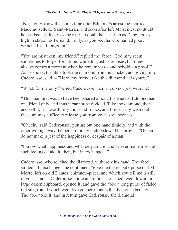"No; I only know that some time after Edmond's arrest, he married Mademoiselle de Saint–Meran, and soon after left Marseilles; no doubt he has been as lucky as the rest; no doubt he is as rich as Danglars, as high in station as Fernand. I only, as you see, have remained poor, wretched, and forgotten."

"You are mistaken, my friend," replied the abbe; "God may seem sometimes to forget for a time, while his justice reposes, but there always comes a moment when he remembers—and behold—a proof!" As he spoke, the abbe took the diamond from his pocket, and giving it to Caderousse, said,—"Here, my friend, take this diamond, it is yours."

"What, for me only?" cried Caderousse, "ah, sir, do not jest with me!"

"This diamond was to have been shared among his friends. Edmond had one friend only, and thus it cannot be divided. Take the diamond, then, and sell it; it is worth fifty thousand francs, and I repeat my wish that this sum may suffice to release you from your wretchedness."

"Oh, sir," said Caderousse, putting out one hand timidly, and with the other wiping away the perspiration which bedewed his brow,—"Oh, sir, do not make a jest of the happiness or despair of a man."

"I know what happiness and what despair are, and I never make a jest of such feelings. Take it, then, but in exchange—"

Caderousse, who touched the diamond, withdrew his hand. The abbe smiled. "In exchange," he continued, "give me the red silk purse that M. Morrel left on old Dantes' chimney–piece, and which you tell me is still in your hands." Caderousse, more and more astonished, went toward a large oaken cupboard, opened it, and gave the abbe a long purse of faded red silk, round which were two copper runners that had once been gilt. The abbe took it, and in return gave Caderousse the diamond.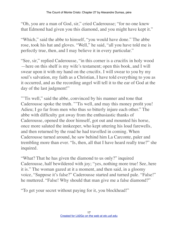"Oh, you are a man of God, sir," cried Caderousse; "for no one knew that Edmond had given you this diamond, and you might have kept it."

"Which," said the abbe to himself, "you would have done." The abbe rose, took his hat and gloves. "Well," he said, "all you have told me is perfectly true, then, and I may believe it in every particular."

"See, sir," replied Caderousse, "in this corner is a crucifix in holy wood —here on this shelf is my wife's testament; open this book, and I will swear upon it with my hand on the crucifix. I will swear to you by my soul's salvation, my faith as a Christian, I have told everything to you as it occurred, and as the recording angel will tell it to the ear of God at the day of the last judgment!"

"'Tis well," said the abbe, convinced by his manner and tone that Caderousse spoke the truth. "'Tis well, and may this money profit you! Adieu; I go far from men who thus so bitterly injure each other." The abbe with difficulty got away from the enthusiastic thanks of Caderousse, opened the door himself, got out and mounted his horse, once more saluted the innkeeper, who kept uttering his loud farewells, and then returned by the road he had travelled in coming. When Caderousse turned around, he saw behind him La Carconte, paler and trembling more than ever. "Is, then, all that I have heard really true?" she inquired.

"What? That he has given the diamond to us only?" inquired Caderousse, half bewildered with joy; "yes, nothing more true! See, here it is." The woman gazed at it a moment, and then said, in a gloomy voice, "Suppose it's false?" Caderousse started and turned pale. "False!" he muttered. "False! Why should that man give me a false diamond?"

"To get your secret without paying for it, you blockhead!"